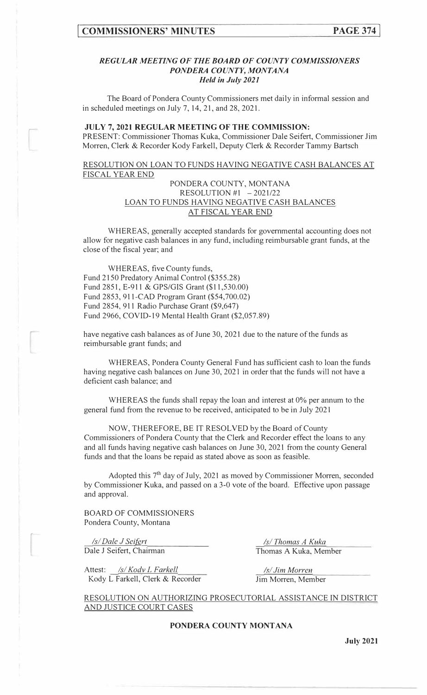#### *REGULAR MEETING OF THE BOARD OF COUNTY COMMISSIONERS PONDERA COUNTY, MONTANA Held in July 2021*

The Board of Pondera County Commissioners met daily in informal session and in scheduled meetings on July 7, 14, 21, and 28, 2021.

### **JULY 7, 2021 REGULAR MEETING OF THE COMMISSION:**

PRESENT: Commissioner Thomas Kuka, Commissioner Dale Seifert, Commissioner Jim Morren, Clerk & Recorder Kody Farkell, Deputy Clerk & Recorder Tammy Bartsch

RESOLUTION ON LOAN TO FUNDS HAVING NEGATIVE CASH BALANCES AT FISCAL YEAR END

### PONDERA COUNTY, MONTANA RESOLUTION #1  $-2021/22$ LOAN TO FUNDS HAVING NEGATIVE CASH BALANCES AT FISCAL YEAR END

WHEREAS, generally accepted standards for governmental accounting does not allow for negative cash balances in any fund, including reimbursable grant funds, at the close of the fiscal year; and

WHEREAS, five County funds, Fund 2150 Predatory Animal Control (\$355.28) Fund 2851, E-911 & GPS/GIS Grant (\$11,530.00) Fund 2853, 911-CAD Program Grant (\$54,700.02) Fund 2854, 911 Radio Purchase Grant (\$9,647) Fund 2966, COVID-19 Mental Health Grant (\$2,057.89)

have negative cash balances as of June 30, 2021 due to the nature of the funds as reimbursable grant funds; and

WHEREAS, Pondera County General Fund has sufficient cash to loan the funds having negative cash balances on June 30, 2021 in order that the funds will not have a deficient cash balance; and

WHEREAS the funds shall repay the loan and interest at 0% per annum to the general fund from the revenue to be received, anticipated to be in July 2021

NOW, THEREFORE, BE IT RESOLVED by the Board of County Commissioners of Pondera County that the Clerk and Recorder effect the loans to any and all funds having negative cash balances on June 30, 2021 from the county General funds and that the loans be repaid as stated above as soon as feasible.

Adopted this 7<sup>th</sup> day of July, 2021 as moved by Commissioner Morren, seconded by Commissioner Kuka, and passed on a 3-0 vote of the board. Effective upon passage and approval.

BOARD OF COMMISSIONERS Pondera County, Montana

*Isl Dale J Seifgrt*  Dale J Seifert, Chairman

Attest: /s/Kodv L Farkell Kody L Farkell, Clerk & Recorder

*Isl Thomas A Kuka*  Thomas A Kuka, Member

*Isl Jim Morren*  Jim Morren, Member

RESOLUTION ON AUTHORIZING PROSECUTORIAL ASSISTANCE IN DISTRICT AND JUSTICE COURT CASES

**PONDERA COUNTY MONTANA** 

**July 2021**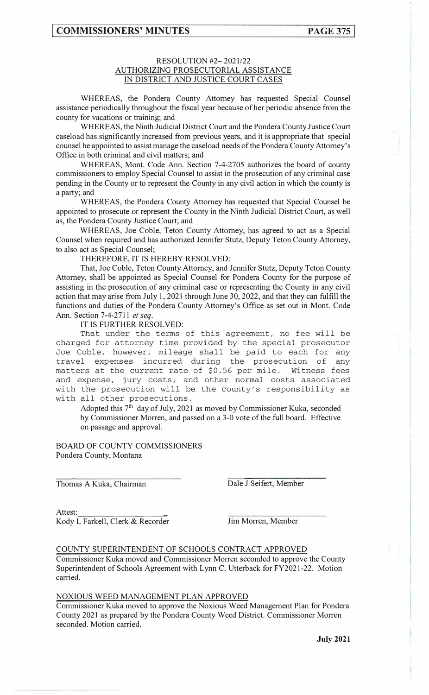## **[ COMMISSIONERS' MINUTES**

## RESOLUTION #2- 2021/22 AUTHORIZING PROSECUTORIAL ASSISTANCE IN DISTRICT AND JUSTICE COURT CASES

WHEREAS, the Pondera County Attorney has requested Special Counsel assistance periodically throughout the fiscal year because of her periodic absence from the county for vacations or training; and

WHEREAS, the Ninth Judicial District Court and the Pondera County Justice Court caseload has significantly increased from previous years, and it is appropriate that special counsel be appointed to assist manage the caseload needs of the Pondera County Attorney's Office in both criminal and civil matters; and

WHEREAS, Mont. Code Ann. Section 7-4-2705 authorizes the board of county commissioners to employ Special Counsel to assist in the prosecution of any criminal case pending in the County or to represent the County in any civil action in which the county is a party; and

WHEREAS, the Pondera County Attorney has requested that Special Counsel be appointed to prosecute or represent the County in the Ninth Judicial District Court, as well as, the Pondera County Justice Court; and

WHEREAS, Joe Coble, Teton County Attorney, has agreed to act as a Special Counsel when required and has authorized Jennifer Stutz, Deputy Teton County Attorney, to also act as Special Counsel;

THEREFORE, IT IS HEREBY RESOLVED:

That, Joe Coble, Teton County Attorney, and Jennifer Stutz, Deputy Teton County Attorney, shall be appointed as Special Counsel for Pondera County for the purpose of assisting in the prosecution of any criminal case or representing the County in any civil action that may arise from July I, 2021 through June 30, 2022, and that they can fulfill the functions and duties of the Pondera County Attorney's Office as set out in Mont. Code Ann. Section 7-4-2711 *et seq.* 

IT IS FURTHER RESOLVED:

That under the terms of this agreement, no fee will be charged for attorney time provided by the special prosecutor Joe Coble, however, mileage shall be paid to each for any travel expenses incurred during the prosecution of any matters at the current rate of \$0.56 per mile. Witness fees and expense, jury costs, and other normal costs associated with the prosecution will be the county's responsibility as with all other prosecutions.

Adopted this 7<sup>th</sup> day of July, 2021 as moved by Commissioner Kuka, seconded by Commissioner Morren, and passed on a 3-0 vote of the full board. Effective on passage and approval.

BOARD OF COUNTY COMMISSIONERS Pondera County, Montana

Thomas A Kuka, Chairman

Dale J Seifert, Member

Attest: Kody L Farkell, Clerk & Recorder

Jim Morren, Member

COUNTY SUPERINTENDENT OF SCHOOLS CONTRACT APPROVED

Commissioner Kuka moved and Commissioner Morren seconded to approve the County Superintendent of Schools Agreement with Lynn C. Utterback for FY202 l-22. Motion carried.

#### NOXIOUS WEED MANAGEMENT PLAN APPROVED

Commissioner Kuka moved to approve the Noxious Weed Management Plan for Pondera County 2021 as prepared by the Pondera County Weed District. Commissioner Morren seconded. Motion carried.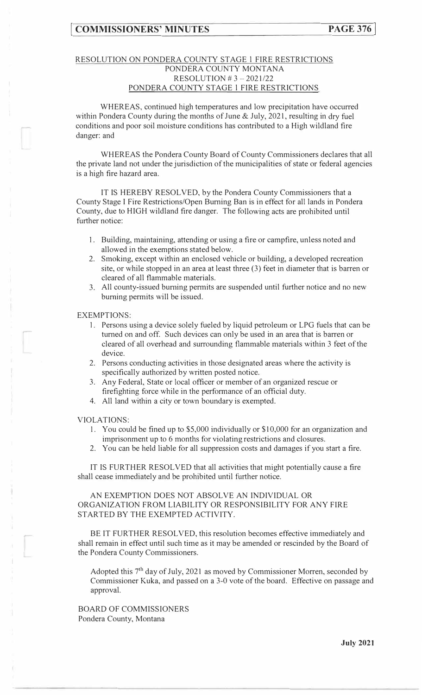## RESOLUTION ON PONDERA COUNTY STAGE l FIRE RESTRICTIONS PONDERA COUNTY MONTANA RESOLUTION  $# 3 - 2021/22$ PONDERA COUNTY STAGE 1 FIRE RESTRICTIONS

WHEREAS, continued high temperatures and low precipitation have occurred within Pondera County during the months of June & July, 2021, resulting in dry fuel conditions and poor soil moisture conditions has contributed to a High wildland fire danger: and

WHEREAS the Pondera County Board of County Commissioners declares that all the private land not under the jurisdiction of the municipalities of state or federal agencies is a high fire hazard area.

IT IS HEREBY RESOLVED, by the Pondera County Commissioners that a County Stage I Fire Restrictions/Open Burning Ban is in effect for all lands in Pondera County, due to HIGH wildland fire danger. The following acts are prohibited until further notice:

- 1. Building, maintaining, attending or using a fire or campfire, unless noted and allowed in the exemptions stated below.
- 2. Smoking, except within an enclosed vehicle or building, a developed recreation site, or while stopped in an area at least three (3) feet in diameter that is barren or cleared of all flammable materials.
- 3. All county-issued burning permits are suspended until further notice and no new burning permits will be issued.

EXEMPTIONS:

- 1. Persons using a device solely fueled by liquid petroleum or LPG fuels that can be turned on and off. Such devices can only be used in an area that is barren or cleared of all overhead and surrounding flammable materials within 3 feet of the device.
- 2. Persons conducting activities in those designated areas where the activity is specifically authorized by written posted notice.
- 3. Any Federal, State or local officer or member of an organized rescue or firefighting force while in the performance of an official duty.
- 4. All land within a city or town boundary is exempted.

#### VIOLATIONS:

- 1. You could be fined up to \$5,000 individually or \$10,000 for an organization and imprisonment up to 6 months for violating restrictions and closures.
- 2. You can be held liable for all suppression costs and damages if you start a fire.

IT IS FURTHER RESOLVED that all activities that might potentially cause a fire shall cease immediately and be prohibited until further notice.

AN EXEMPTION DOES NOT ABSOLVE AN INDIVIDUAL OR ORGANIZATION FROM LIABILITY OR RESPONSIBILITY FOR ANY FIRE STARTED BY THE EXEMPTED ACTIVITY.

BE IT FURTHER RESOLVED, this resolution becomes effective immediately and shall remain in effect until such time as it may be amended or rescinded by the Board of the Pondera County Commissioners.

Adopted this 7<sup>th</sup> day of July, 2021 as moved by Commissioner Morren, seconded by Commissioner Kuka, and passed on a 3-0 vote of the board. Effective on passage and approval.

BOARD OF COMMISSIONERS Pondera County, Montana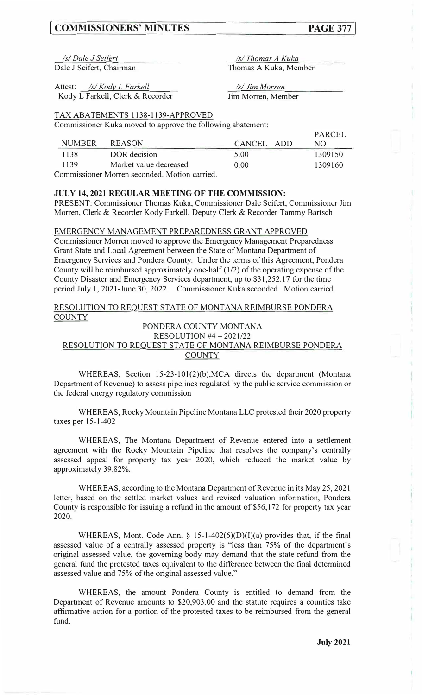## **[ COMMISSIONERS' MINUTES PAGE 377]**

**DADCEL** 

*!Jf\_Dale J Seifrrt Isl Thomas A Kuka*  Dale J Seifert, Chairman

Thomas A Kuka, Member

Attest: */s/Kody L Farkell* Kody L Farkell, Clerk & Recorder Jim Morren, Member

*Isl Jim Morren* 

#### TAX ABATEMENTS 1138-1139-APPROVED

Commissioner Kuka moved to approve the following abatement:

|               |                                             |            | TARCEE  |
|---------------|---------------------------------------------|------------|---------|
| <b>NUMBER</b> | <b>REASON</b>                               | CANCEL ADD | NO.     |
| 1138          | DOR decision                                | 5.00       | 1309150 |
| 1139          | Market value decreased                      | 0.00       | 1309160 |
|               | Commissioner Morren seconded Motion corried |            |         |

ommissioner Morren seconded. Motion carried.

## **JULY 14, 2021 REGULAR MEETING OF THE COMMISSION:**

PRESENT: Commissioner Thomas Kuka, Commissioner Dale Seifert, Commissioner Jim Morren, Clerk & Recorder Kody Farkell, Deputy Clerk & Recorder Tammy Bartsch

#### EMERGENCY MANAGEMENT PREPAREDNESS GRANT APPROVED

Commissioner Morren moved to approve the Emergency Management Preparedness Grant State and Local Agreement between the State of Montana Department of Emergency Services and Pondera County. Under the terms of this Agreement, Pondera County will be reimbursed approximately one-half (1/2) of the operating expense of the County Disaster and Emergency Services department, up to \$31,252.17 for the time period July 1, 2021-June 30, 2022. Commissioner Kuka seconded. Motion carried.

#### RESOLUTION TO REQUEST STATE OF MONTANA REIMBURSE PONDERA **COUNTY**

#### PONDERA COUNTY MONTANA RESOLUTION #4 - 2021/22

## RESOLUTION TO REQUEST STATE OF MONTANA REIMBURSE PONDERA COUNTY

WHEREAS, Section 15-23-101(2)(b), MCA directs the department (Montana Department of Revenue) to assess pipelines regulated by the public service commission or the federal energy regulatory commission

WHEREAS, Rocky Mountain Pipeline Montana LLC protested their 2020 property taxes per 15-1-402

WHEREAS, The Montana Department of Revenue entered into a settlement agreement with the Rocky Mountain Pipeline that resolves the company's centrally assessed appeal for property tax year 2020, which reduced the market value by approximately 39.82%.

WHEREAS, according to the Montana Department of Revenue in its May 25, 2021 letter, based on the settled market values and revised valuation information, Pondera County is responsible for issuing a refund in the amount of \$56,172 for property tax year 2020.

WHEREAS, Mont. Code Ann. § 15-1-402(6)(D)(I)(a) provides that, if the final assessed value of a centrally assessed property is "less than 75% of the department's original assessed value, the governing body may demand that the state refund from the general fund the protested taxes equivalent to the difference between the final determined assessed value and 75% of the original assessed value."

WHEREAS, the amount Pondera County is entitled to demand from the Department of Revenue amounts to \$20,903.00 and the statute requires a counties take affinnative action for a portion of the protested taxes to be reimbursed from the general fund.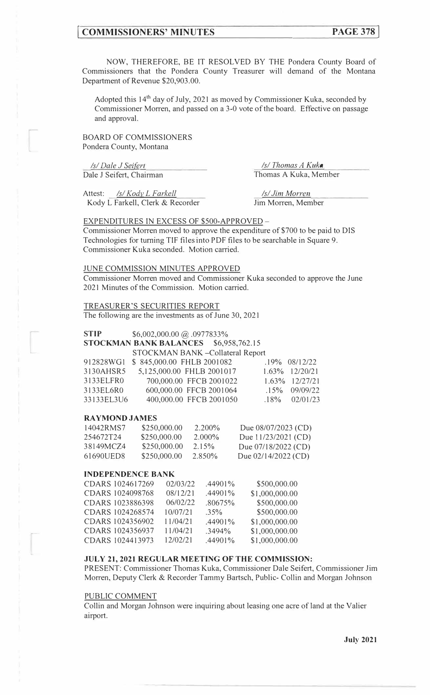## **[ COMMISSIONERS' MINUTES PAGE 378]**

NOW, THEREFORE, BE IT RESOLVED BY THE Pondera County Board of Commissioners that the Pondera County Treasurer will demand of the Montana Department of Revenue \$20,903.00.

Adopted this 14<sup>th</sup> day of July, 2021 as moved by Commissioner Kuka, seconded by Commissioner Morren, and passed on a 3-0 vote of the board. Effective on passage and approval.

BOARD OF COMMISSIONERS Pondera County, Montana

*Isl Dale\_ J Sei{grt*  Dale J Seifert, Chairman

Attest: *Isl Kody L Farkell*  Kody L Farkell, Clerk & Recorder

*Isl Thomas A Kuka*  Thomas A Kuka, Member

*Isl Jim Morren*  Jim Morren, Member

#### EXPENDITURES IN EXCESS OF \$500-APPROVED -

Commissioner Morren moved to approve the expenditure of \$700 to be paid to DIS Technologies for turning TIF files into PDF files to be searchable in Square 9. Commissioner Kuka seconded. Motion carried.

#### JUNE COMMISSION MINUTES APPROVED

Commissioner Morren moved and Commissioner Kuka seconded to approve the June 2021 Minutes of the Commission. Motion carried.

### TREASURER'S SECURITIES REPORT

The following are the investments as of June 30, 2021

### **STIP** \$6,002,000.00 @ .0977833%

**STOCKMAN BANK BALANCES** \$6,958,762.15

|            | STOCKMAN BANK - Collateral Report |                     |
|------------|-----------------------------------|---------------------|
| 912828WG1  | \$845,000.00 FHLB 2001082         | $.19\%$ 08/12/22    |
| 3130AHSR5  | 5,125,000.00 FHLB 2001017         | $1.63\%$ $12/20/21$ |
| 3133ELFR0  | 700,000.00 FFCB 2001022           | $1.63\%$ $12/27/21$ |
| 3133EL6R0  | 600,000.00 FFCB 2001064           | $.15\%$ 09/09/22    |
| 33133EL3U6 | 400,000.00 FFCB 2001050           | $.18\%$ 02/01/23    |

#### **RAYMOND JAMES**

| 14042RMS7 | \$250,000.00 | $2.200\%$ | Due $08/07/2023$ (CD) |
|-----------|--------------|-----------|-----------------------|
| 254672T24 | \$250,000.00 | $2.000\%$ | Due 11/23/2021 (CD)   |
| 38149MCZ4 | \$250,000,00 | 2.15%     | Due 07/18/2022 (CD)   |
| 61690UED8 | \$250,000.00 | 2.850\%   | Due $02/14/2022$ (CD) |

#### **INDEPENDENCE BANK**

| CDARS 1024617269 | 02/03/22 | $.44901\%$ | \$500,000.00   |
|------------------|----------|------------|----------------|
| CDARS 1024098768 | 08/12/21 | $.44901\%$ | \$1,000,000.00 |
| CDARS 1023886398 | 06/02/22 | .80675%    | \$500,000.00   |
| CDARS 1024268574 | 10/07/21 | $.35\%$    | \$500,000.00   |
| CDARS 1024356902 | 11/04/21 | $.44901\%$ | \$1,000,000.00 |
| CDARS 1024356937 | 11/04/21 | $.3494\%$  | \$1,000,000.00 |
| CDARS 1024413973 | 12/02/21 | $.44901\%$ | \$1,000,000.00 |

## **JULY 21, 2021 REGULAR MEETING OF THE COMMISSION:**

PRESENT: Commissioner Thomas Kuka, Commissioner Dale Seifert, Commissioner Jim Morren, Deputy Clerk & Recorder Tammy Bartsch, Public- Collin and Morgan Johnson

#### PUBLIC COMMENT

Collin and Morgan Johnson were inquiring about leasing one acre ofland at the Valier airport.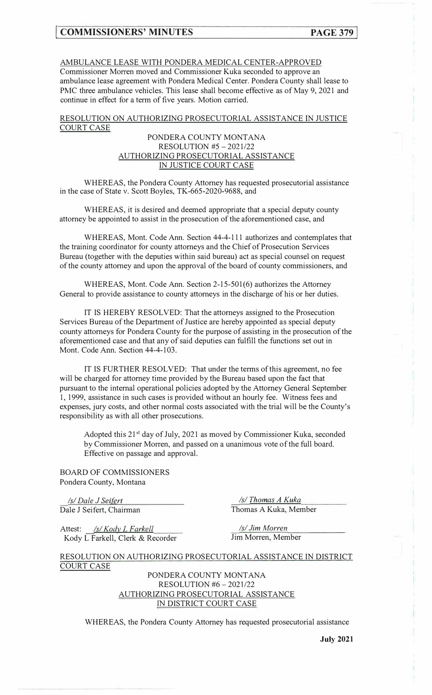## AMBULANCE LEASE WITH PONDERA MEDICAL CENTER-APPROVED

Commissioner Morren moved and Commissioner Kuka seconded to approve an ambulance lease agreement with Pondera Medical Center. Pondera County shall lease to PMC three ambulance vehicles. This lease shall become effective as of May 9, 2021 and continue in effect for a term of five years. Motion carried.

## RESOLUTION ON AUTHORIZING PROSECUTORIAL ASSISTANCE IN JUSTICE COURT CASE

### PONDERA COUNTY MONTANA RESOLUTION #5 - 2021/22 AUTHORIZING PROSECUTORIAL ASSISTANCE IN JUSTICE COURT CASE

WHEREAS, the Pondera County Attorney has requested prosecutorial assistance in the case of State v. Scott Boyles, TK-665-2020-9688, and

WHEREAS, it is desired and deemed appropriate that a special deputy county attorney be appointed to assist in the prosecution of the aforementioned case, and

WHEREAS, Mont. Code Ann. Section 44-4-111 authorizes and contemplates that the training coordinator for county attorneys and the Chief of Prosecution Services Bureau (together with the deputies within said bureau) act as special counsel on request of the county attorney and upon the approval of the board of county commissioners, and

WHEREAS, Mont. Code Ann. Section 2-15-501(6) authorizes the Attorney General to provide assistance to county attorneys in the discharge of his or her duties.

IT IS HEREBY RESOLVED: That the attorneys assigned to the Prosecution Services Bureau of the Department of Justice are hereby appointed as special deputy county attorneys for Pondera County for the purpose of assisting in the prosecution of the aforementioned case and that any of said deputies can fulfill the functions set out in Mont. Code Ann. Section 44-4-103.

IT IS FURTHER RESOLVED: That under the terms of this agreement, no fee will be charged for attorney time provided by the Bureau based upon the fact that pursuant to the internal operational policies adopted by the Attorney General September I, 1999, assistance in such cases is provided without an hourly fee. Witness fees and expenses, jury costs, and other normal costs associated with the trial will be the County's responsibility as with all other prosecutions.

Adopted this 21<sup>st</sup> day of July, 2021 as moved by Commissioner Kuka, seconded by Commissioner Morren, and passed on a unanimous vote of the full board. Effective on passage and approval.

BOARD OF COMMISSIONERS Pondera County, Montana

*Isl Dale J Sg\_i[§rt*  Dale J Seifert, Chairman

*Isl Thom\_g:s\_ A Kuka*  Thomas A Kuka, Member

Attest: /s/Kody L Farkell Kody L Farkell, Clerk & Recorder

*Isl Jim Morre\_n*  Jim Morren, Member

RESOLUTION ON AUTHORIZING PROSECUTORIAL ASSISTANCE IN DISTRICT COURT CASE

> PONDERA COUNTY MONTANA RESOLUTION #6 - 2021/22 AUTHORIZING PROSECUTORIAL ASSISTANCE IN DISTRICT COURT CASE

WHEREAS, the Pondera County Attorney has requested prosecutorial assistance

**July 2021**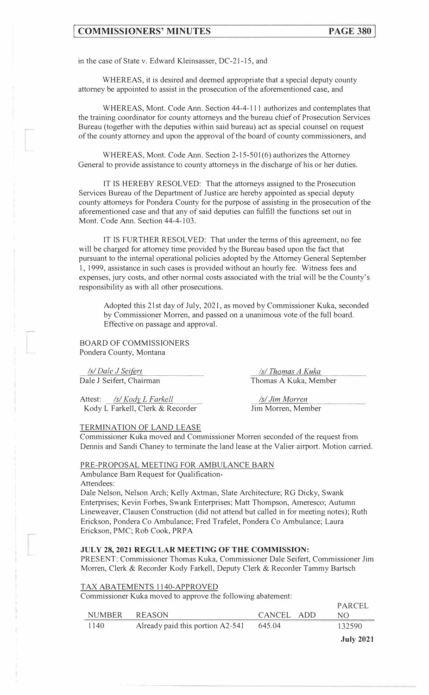## **EXECUTERS MINUTES PAGE 380**

in the case of State v. Edward Kleinsasser, DC-21-15, and

WHEREAS, it is desired and deemed appropriate that a special deputy county attorney be appointed to assist in the prosecution of the aforementioned case, and

WHEREAS, Mont. Code Ann. Section 44-4-11 I authorizes and contemplates that the training coordinator for county attorneys and the bureau chief of Prosecution Services Bureau (together with the deputies within said bureau) act as special counsel on request of the county attorney and upon the approval of the board of county commissioners, and

WHEREAS, Mont. Code Ann. Section 2-15-501(6) authorizes the Attorney General to provide assistance to county attorneys in the discharge of his or her duties.

*lT* IS HEREBY RESOLVED: That the attorneys assigned to the Prosecution Services Bureau of the Department of Justice are hereby appointed as special deputy county attorneys for Pondera County for the purpose of assisting in the prosecution of the aforementioned case and that any of said deputies can fulfill the functions set out in Mont. Code Ann. Section 44-4-103.

IT IS FURTHER RESOLVED: That under the terms of this agreement, no fee will be charged for attorney time provided by the Bureau based upon the fact that pursuant to the internal operational policies adopted by the Attorney General September 1, 1999, assistance in such cases is provided without an hourly fee. Witness fees and expenses, jury costs, and other normal costs associated with the trial will be the County's responsibility as with all other prosecutions.

Adopted this 21st day of July, 2021, as moved by Commissioner Kuka, seconded by Commissioner Morren, and passed on a unanimous vote of the full board. Effective on passage and approval.

BOARD OF COMMISSIONERS Pondera County, Montana

*Isl Dale J Sei/grt* 

,.-

Dale J Seifert, Chairman

Attest: *Isl Kody l Farkell*  Kody L Farkell, Clerk & Recorder

#### TERMINATION OF LAND LEASE

/s/ Thomas A Kuka Thomas A Kuka, Member

*Isl Jim Morren*  Jim Morren, Member

Commissioner Kuka moved and Commissioner Morren seconded of the request from Dennis and Sandi Chaney to terminate the land lease at the Valier airport. Motion carried.

#### PRE-PROPOSAL MEETING FOR AMBULANCE BARN

Ambulance Barn Request for Qualification-

Attendees:

Dale Nelson, Nelson Arch; Kelly Axtman, Slate Architecture; RG Dicky, Swank Enterprises; Kevin Forbes, Swank Enterprises; Matt Thompson, Ameresco; Autumn Lineweaver, Clausen Construction (did not attend but called in for meeting notes); Ruth Erickson, Pondera Co Ambulance; Fred Trafelet, Pondera Co Ambulance; Laura Erickson, PMC; Rob Cook, PRPA

#### **JULY 28, 2021 REGULAR MEETING OF THE COMMISSION:**

PRESENT: Commissioner Thomas Kuka, Commissioner Dale Seifert, Commissioner Jim Morren, Clerk & Recorder Kody Farkell, Deputy Clerk & Recorder Tammy Bartsch

#### TAX ABATEMENTS 1140-APPROVED

Commissioner Kuka moved to approve the following abatement:

|        |                                  |            | <b>July 2021</b> |
|--------|----------------------------------|------------|------------------|
| 1140   | Already paid this portion A2-541 | 645.04     | 132590           |
| NUMBER | REASON                           | CANCEL ADD | NO.              |
|        |                                  |            | PARCEL           |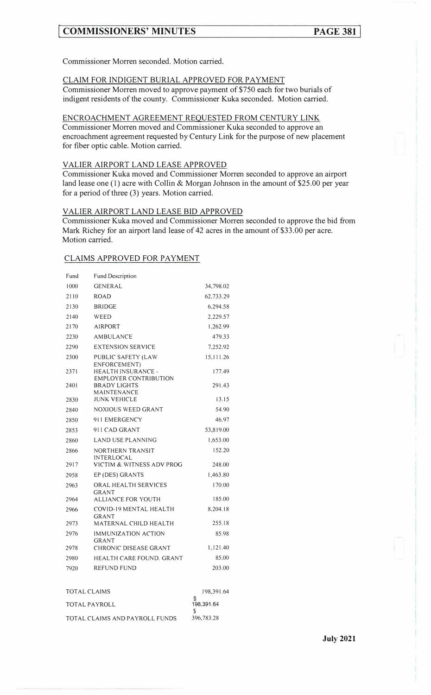## **[ COMMISSIONERS' MINUTES PAGE 381]**

Commissioner Morren seconded. Motion carried.

## CLAIM FOR INDIGENT BURIAL APPROVED FOR PAYMENT

Commissioner Morren moved to approve payment of \$750 each for two burials of indigent residents of the county. Commissioner Kuka seconded. Motion carried.

#### ENCROACHMENT AGREEMENT REQUESTED FROM CENTURY LINK

Commissioner Morren moved and Commissioner Kuka seconded to approve an encroachment agreement requested by Century Link for the purpose of new placement for fiber optic cable. Motion carried.

## VALIER AIRPORT LAND LEASE APPROVED

Commissioner Kuka moved and Commissioner Morren seconded to approve an airport land lease one (1) acre with Collin & Morgan Johnson in the amount of \$25.00 per year for a period of three (3) years. Motion carried.

#### VALIER AIRPORT LAND LEASE BID APPROVED

Commissioner Kuka moved and Commissioner Morren seconded to approve the bid from Mark Richey for an airport land lease of 42 acres in the amount of \$33.00 per acre. Motion carried.

#### CLAIMS APPROVED FOR PAYMENT

| Fund | <b>Fund Description</b>                                   |           |
|------|-----------------------------------------------------------|-----------|
| 1000 | <b>GENERAL</b>                                            | 34,798.02 |
| 2110 | <b>ROAD</b>                                               | 62,733.29 |
| 2130 | <b>BRIDGE</b>                                             | 6,294.58  |
| 2140 | WEED                                                      | 2,229.57  |
| 2170 | <b>AIRPORT</b>                                            | 1,262.99  |
| 2230 | <b>AMBULANCE</b>                                          | 479.33    |
| 2290 | <b>EXTENSION SERVICE</b>                                  | 7,252.92  |
| 2300 | PUBLIC SAFETY (LAW<br>ENFORCEMENT)                        | 15,111.26 |
| 2371 | <b>HEALTH INSURANCE -</b><br><b>EMPLOYER CONTRIBUTION</b> | 177.49    |
| 2401 | <b>BRADY LIGHTS</b><br>MAINTENANCE                        | 291.43    |
| 2830 | <b>JUNK VEHICLE</b>                                       | 13.15     |
| 2840 | <b>NOXIOUS WEED GRANT</b>                                 | 54.90     |
| 2850 | 911 EMERGENCY                                             | 46.97     |
| 2853 | 911 CAD GRANT                                             | 53,819.00 |
| 2860 | LAND USE PLANNING                                         | 1,653.00  |
| 2866 | NORTHERN TRANSIT<br><b>INTERLOCAL</b>                     | 152.20    |
| 2917 | VICTIM & WITNESS ADV PROG                                 | 248.00    |
| 2958 | EP (DES) GRANTS                                           | 1,463.80  |
| 2963 | ORAL HEALTH SERVICES<br><b>GRANT</b>                      | 170.00    |
| 2964 | ALLIANCE FOR YOUTH                                        | 185.00    |
| 2966 | COVID-19 MENTAL HEALTH<br><b>GRANT</b>                    | 8,204.18  |
| 2973 | MATERNAL CHILD HEALTH                                     | 255.18    |
| 2976 | <b>IMMUNIZATION ACTION</b><br><b>GRANT</b>                | 85.98     |
| 2978 | CHRONIC DISEASE GRANT                                     | 1,121.40  |
| 2980 | <b>HEALTH CARE FOUND. GRANT</b>                           | 85.00     |
| 7920 | <b>REFUND FUND</b>                                        | 203.00    |

| TOTAL CLAIMS                   | 198,391.64 |
|--------------------------------|------------|
|                                |            |
| TOTAL PAYROLL                  | 198.391.64 |
|                                |            |
| TOTAL CLAIMS AND PAYROLL FUNDS | 396,783.28 |